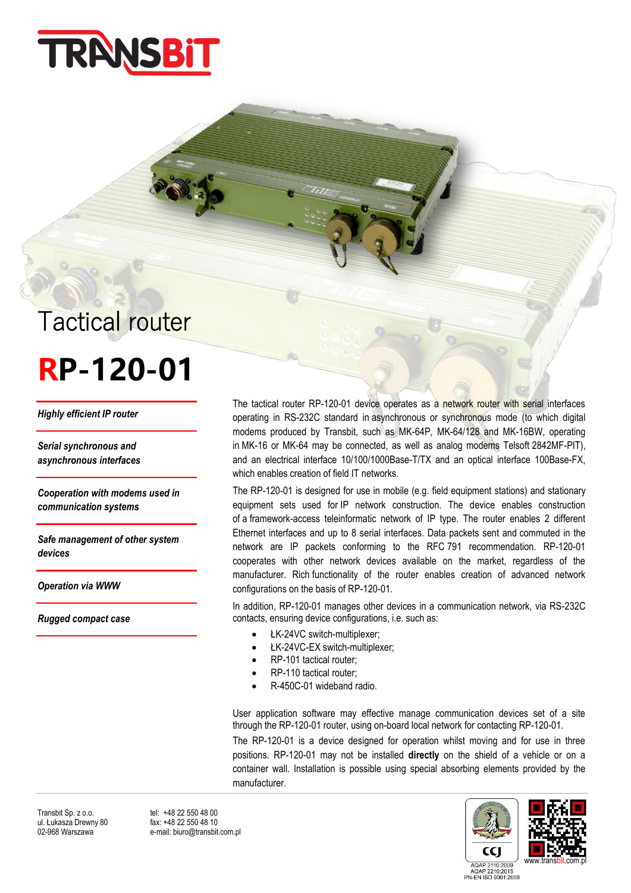

## Tactical router

## **RP-120-01**

*Highly efficient IP router* 

*Serial synchronous and asynchronous interfaces*

*Cooperation with modems used in communication systems* 

*Safe management of other system devices*

*Operation via WWW*

*Rugged compact case*

The tactical router RP-120-01 device operates as a network router with serial interfaces operating in RS-232C standard in asynchronous or synchronous mode (to which digital modems produced by Transbit, such as MK-64P, MK-64/128 and MK-16BW, operating in MK-16 or MK-64 may be connected, as well as analog modems Telsoft 2842MF-PIT), and an electrical interface 10/100/1000Base-T/TX and an optical interface 100Base-FX, which enables creation of field IT networks.

The RP-120-01 is designed for use in mobile (e.g. field equipment stations) and stationary equipment sets used for IP network construction. The device enables construction of a framework-access teleinformatic network of IP type. The router enables 2 different Ethernet interfaces and up to 8 serial interfaces. Data packets sent and commuted in the network are IP packets conforming to the RFC 791 recommendation. RP-120-01 cooperates with other network devices available on the market, regardless of the manufacturer. Rich functionality of the router enables creation of advanced network configurations on the basis of RP-120-01.

In addition, RP-120-01 manages other devices in a communication network, via RS-232C contacts, ensuring device configurations, i.e. such as:

- ŁK-24VC switch-multiplexer;
- ŁK-24VC-EX switch-multiplexer;
- RP-101 tactical router;
- RP-110 tactical router;
- R-450C-01 wideband radio.

User application software may effective manage communication devices set of a site through the RP-120-01 router, using on-board local network for contacting RP-120-01.

The RP-120-01 is a device designed for operation whilst moving and for use in three positions. RP-120-01 may not be installed **directly** on the shield of a vehicle or on a container wall. Installation is possible using special absorbing elements provided by the manufacturer.



02-968 Warszawa e-mail: biuro@transbit.com.pl